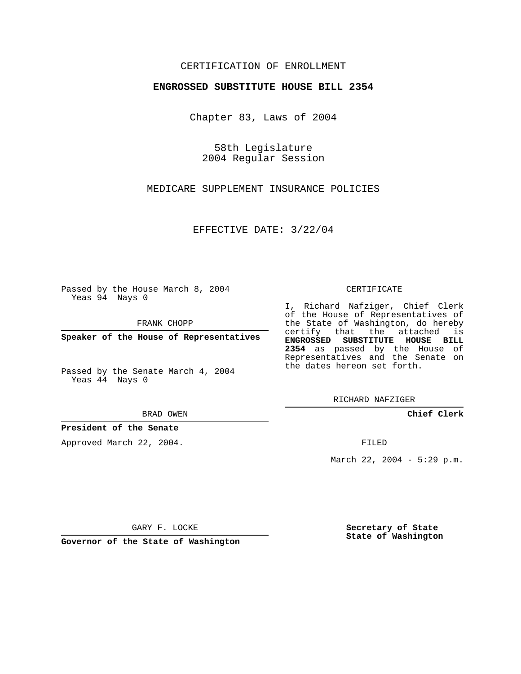# CERTIFICATION OF ENROLLMENT

### **ENGROSSED SUBSTITUTE HOUSE BILL 2354**

Chapter 83, Laws of 2004

58th Legislature 2004 Regular Session

MEDICARE SUPPLEMENT INSURANCE POLICIES

EFFECTIVE DATE: 3/22/04

Passed by the House March 8, 2004 Yeas 94 Nays 0

FRANK CHOPP

**Speaker of the House of Representatives**

Passed by the Senate March 4, 2004 Yeas 44 Nays 0

#### BRAD OWEN

## **President of the Senate**

Approved March 22, 2004.

#### CERTIFICATE

I, Richard Nafziger, Chief Clerk of the House of Representatives of the State of Washington, do hereby certify that the attached is **ENGROSSED SUBSTITUTE HOUSE BILL 2354** as passed by the House of Representatives and the Senate on the dates hereon set forth.

RICHARD NAFZIGER

**Chief Clerk**

FILED

March 22, 2004 - 5:29 p.m.

GARY F. LOCKE

**Governor of the State of Washington**

**Secretary of State State of Washington**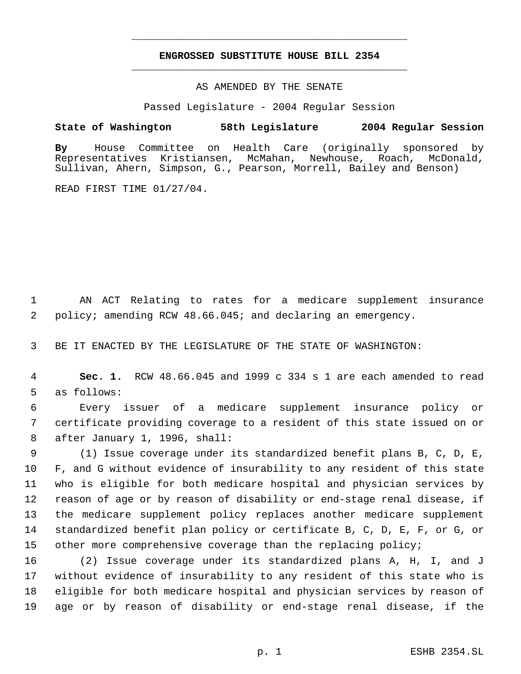# **ENGROSSED SUBSTITUTE HOUSE BILL 2354** \_\_\_\_\_\_\_\_\_\_\_\_\_\_\_\_\_\_\_\_\_\_\_\_\_\_\_\_\_\_\_\_\_\_\_\_\_\_\_\_\_\_\_\_\_

\_\_\_\_\_\_\_\_\_\_\_\_\_\_\_\_\_\_\_\_\_\_\_\_\_\_\_\_\_\_\_\_\_\_\_\_\_\_\_\_\_\_\_\_\_

### AS AMENDED BY THE SENATE

Passed Legislature - 2004 Regular Session

## **State of Washington 58th Legislature 2004 Regular Session**

**By** House Committee on Health Care (originally sponsored by Representatives Kristiansen, McMahan, Newhouse, Roach, McDonald, Sullivan, Ahern, Simpson, G., Pearson, Morrell, Bailey and Benson)

READ FIRST TIME 01/27/04.

 AN ACT Relating to rates for a medicare supplement insurance policy; amending RCW 48.66.045; and declaring an emergency.

BE IT ENACTED BY THE LEGISLATURE OF THE STATE OF WASHINGTON:

 **Sec. 1.** RCW 48.66.045 and 1999 c 334 s 1 are each amended to read as follows:

 Every issuer of a medicare supplement insurance policy or certificate providing coverage to a resident of this state issued on or after January 1, 1996, shall:

 (1) Issue coverage under its standardized benefit plans B, C, D, E, F, and G without evidence of insurability to any resident of this state who is eligible for both medicare hospital and physician services by reason of age or by reason of disability or end-stage renal disease, if the medicare supplement policy replaces another medicare supplement standardized benefit plan policy or certificate B, C, D, E, F, or G, or other more comprehensive coverage than the replacing policy;

 (2) Issue coverage under its standardized plans A, H, I, and J without evidence of insurability to any resident of this state who is eligible for both medicare hospital and physician services by reason of age or by reason of disability or end-stage renal disease, if the